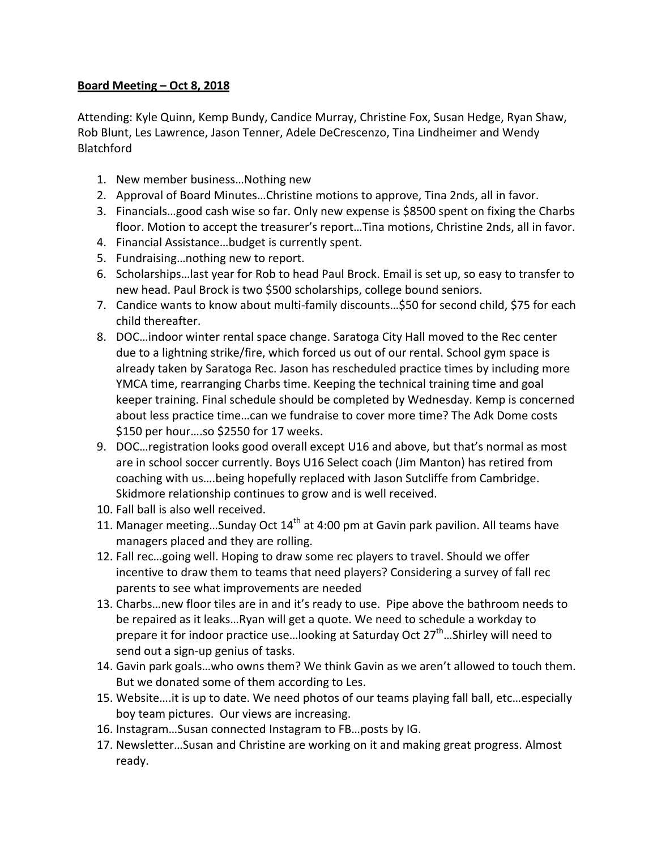## **Board Meeting – Oct 8, 2018**

Attending: Kyle Quinn, Kemp Bundy, Candice Murray, Christine Fox, Susan Hedge, Ryan Shaw, Rob Blunt, Les Lawrence, Jason Tenner, Adele DeCrescenzo, Tina Lindheimer and Wendy Blatchford

- 1. New member business...Nothing new
- 2. Approval of Board Minutes...Christine motions to approve, Tina 2nds, all in favor.
- 3. Financials...good cash wise so far. Only new expense is \$8500 spent on fixing the Charbs floor. Motion to accept the treasurer's report...Tina motions, Christine 2nds, all in favor.
- 4. Financial Assistance...budget is currently spent.
- 5. Fundraising...nothing new to report.
- 6. Scholarships...last year for Rob to head Paul Brock. Email is set up, so easy to transfer to new head. Paul Brock is two \$500 scholarships, college bound seniors.
- 7. Candice wants to know about multi-family discounts...\$50 for second child, \$75 for each child thereafter.
- 8. DOC...indoor winter rental space change. Saratoga City Hall moved to the Rec center due to a lightning strike/fire, which forced us out of our rental. School gym space is already taken by Saratoga Rec. Jason has rescheduled practice times by including more YMCA time, rearranging Charbs time. Keeping the technical training time and goal keeper training. Final schedule should be completed by Wednesday. Kemp is concerned about less practice time...can we fundraise to cover more time? The Adk Dome costs \$150 per hour....so \$2550 for 17 weeks.
- 9. DOC... registration looks good overall except U16 and above, but that's normal as most are in school soccer currently. Boys U16 Select coach (Jim Manton) has retired from coaching with us....being hopefully replaced with Jason Sutcliffe from Cambridge. Skidmore relationship continues to grow and is well received.
- 10. Fall ball is also well received.
- 11. Manager meeting...Sunday Oct  $14<sup>th</sup>$  at 4:00 pm at Gavin park pavilion. All teams have managers placed and they are rolling.
- 12. Fall rec…going well. Hoping to draw some rec players to travel. Should we offer incentive to draw them to teams that need players? Considering a survey of fall rec parents to see what improvements are needed
- 13. Charbs...new floor tiles are in and it's ready to use. Pipe above the bathroom needs to be repaired as it leaks...Ryan will get a quote. We need to schedule a workday to prepare it for indoor practice use... looking at Saturday Oct  $27<sup>th</sup>$ ... Shirley will need to send out a sign-up genius of tasks.
- 14. Gavin park goals...who owns them? We think Gavin as we aren't allowed to touch them. But we donated some of them according to Les.
- 15. Website ... it is up to date. We need photos of our teams playing fall ball, etc... especially boy team pictures. Our views are increasing.
- 16. Instagram...Susan connected Instagram to FB...posts by IG.
- 17. Newsletter...Susan and Christine are working on it and making great progress. Almost ready.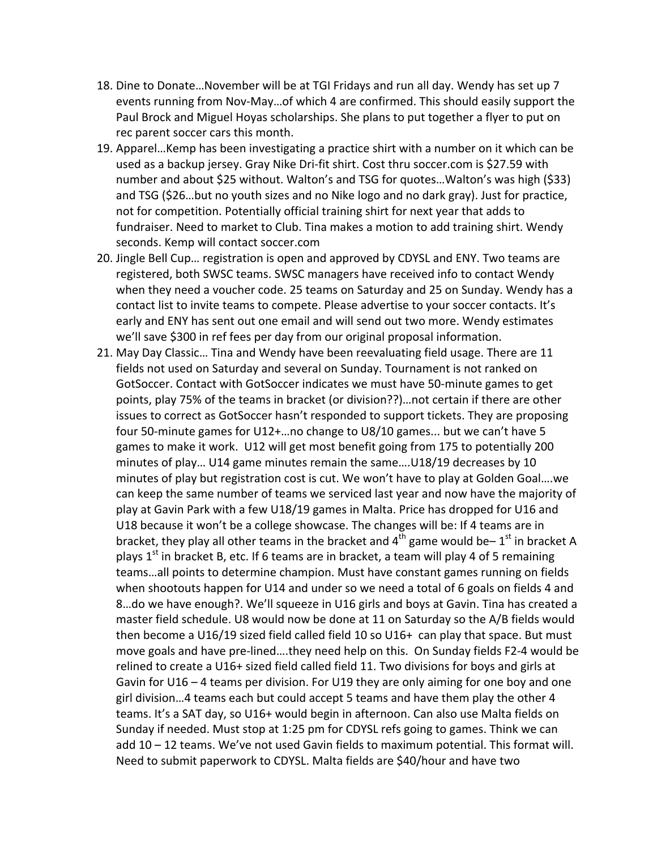- 18. Dine to Donate...November will be at TGI Fridays and run all day. Wendy has set up 7 events running from Nov-May...of which 4 are confirmed. This should easily support the Paul Brock and Miguel Hoyas scholarships. She plans to put together a flyer to put on rec parent soccer cars this month.
- 19. Apparel...Kemp has been investigating a practice shirt with a number on it which can be used as a backup jersey. Gray Nike Dri-fit shirt. Cost thru soccer.com is \$27.59 with number and about \$25 without. Walton's and TSG for quotes...Walton's was high (\$33) and TSG (\$26...but no youth sizes and no Nike logo and no dark gray). Just for practice, not for competition. Potentially official training shirt for next year that adds to fundraiser. Need to market to Club. Tina makes a motion to add training shirt. Wendy seconds. Kemp will contact soccer.com
- 20. Jingle Bell Cup... registration is open and approved by CDYSL and ENY. Two teams are registered, both SWSC teams. SWSC managers have received info to contact Wendy when they need a voucher code. 25 teams on Saturday and 25 on Sunday. Wendy has a contact list to invite teams to compete. Please advertise to your soccer contacts. It's early and ENY has sent out one email and will send out two more. Wendy estimates we'll save \$300 in ref fees per day from our original proposal information.
- 21. May Day Classic... Tina and Wendy have been reevaluating field usage. There are 11 fields not used on Saturday and several on Sunday. Tournament is not ranked on GotSoccer. Contact with GotSoccer indicates we must have 50-minute games to get points, play 75% of the teams in bracket (or division??)...not certain if there are other issues to correct as GotSoccer hasn't responded to support tickets. They are proposing four 50-minute games for U12+...no change to U8/10 games... but we can't have 5 games to make it work. U12 will get most benefit going from 175 to potentially 200 minutes of play... U14 game minutes remain the same....U18/19 decreases by 10 minutes of play but registration cost is cut. We won't have to play at Golden Goal....we can keep the same number of teams we serviced last year and now have the majority of play at Gavin Park with a few U18/19 games in Malta. Price has dropped for U16 and U18 because it won't be a college showcase. The changes will be: If 4 teams are in bracket, they play all other teams in the bracket and  $4^{th}$  game would be–  $1^{st}$  in bracket A plays  $1^{st}$  in bracket B, etc. If 6 teams are in bracket, a team will play 4 of 5 remaining teams...all points to determine champion. Must have constant games running on fields when shootouts happen for U14 and under so we need a total of 6 goals on fields 4 and 8...do we have enough?. We'll squeeze in U16 girls and boys at Gavin. Tina has created a master field schedule. U8 would now be done at 11 on Saturday so the A/B fields would then become a U16/19 sized field called field 10 so U16+ can play that space. But must move goals and have pre-lined....they need help on this. On Sunday fields F2-4 would be relined to create a U16+ sized field called field 11. Two divisions for boys and girls at Gavin for U16 – 4 teams per division. For U19 they are only aiming for one boy and one girl division...4 teams each but could accept 5 teams and have them play the other 4 teams. It's a SAT day, so U16+ would begin in afternoon. Can also use Malta fields on Sunday if needed. Must stop at 1:25 pm for CDYSL refs going to games. Think we can add  $10 - 12$  teams. We've not used Gavin fields to maximum potential. This format will. Need to submit paperwork to CDYSL. Malta fields are \$40/hour and have two